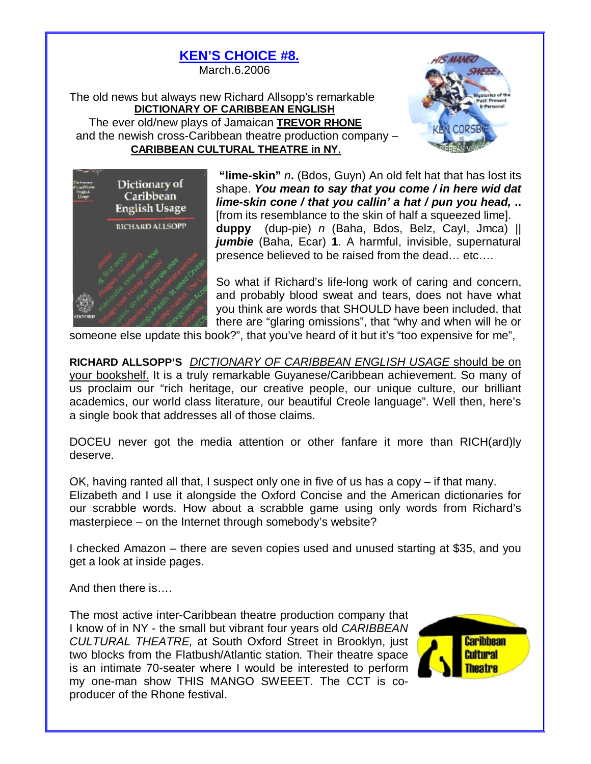



**"lime-skin"** *n***.** (Bdos, Guyn) An old felt hat that has lost its shape. *You mean to say that you come / in here wid dat lime-skin cone / that you callin' a hat / pun you head,* **..**  [from its resemblance to the skin of half a squeezed lime]. **duppy** (dup-pie) *n* (Baha, Bdos, Belz, CayI, Jmca) || *jumbie* (Baha, Ecar) **1**. A harmful, invisible, supernatural presence believed to be raised from the dead… etc….

So what if Richard's life-long work of caring and concern, and probably blood sweat and tears, does not have what you think are words that SHOULD have been included, that there are "glaring omissions", that "why and when will he or

someone else update this book?", that you've heard of it but it's "too expensive for me",

**RICHARD ALLSOPP'S** *DICTIONARY OF CARIBBEAN ENGLISH USAGE* should be on your bookshelf. It is a truly remarkable Guyanese/Caribbean achievement. So many of us proclaim our "rich heritage, our creative people, our unique culture, our brilliant academics, our world class literature, our beautiful Creole language". Well then, here's a single book that addresses all of those claims.

DOCEU never got the media attention or other fanfare it more than RICH(ard)ly deserve.

OK, having ranted all that, I suspect only one in five of us has a copy – if that many. Elizabeth and I use it alongside the Oxford Concise and the American dictionaries for our scrabble words. How about a scrabble game using only words from Richard's masterpiece – on the Internet through somebody's website?

I checked Amazon – there are seven copies used and unused starting at \$35, and you get a look at inside pages.

And then there is….

The most active inter-Caribbean theatre production company that I know of in NY - the small but vibrant four years old *CARIBBEAN CULTURAL THEATRE,* at South Oxford Street in Brooklyn, just two blocks from the Flatbush/Atlantic station*.* Their theatre space is an intimate 70-seater where I would be interested to perform my one-man show THIS MANGO SWEEET. The CCT is coproducer of the Rhone festival.